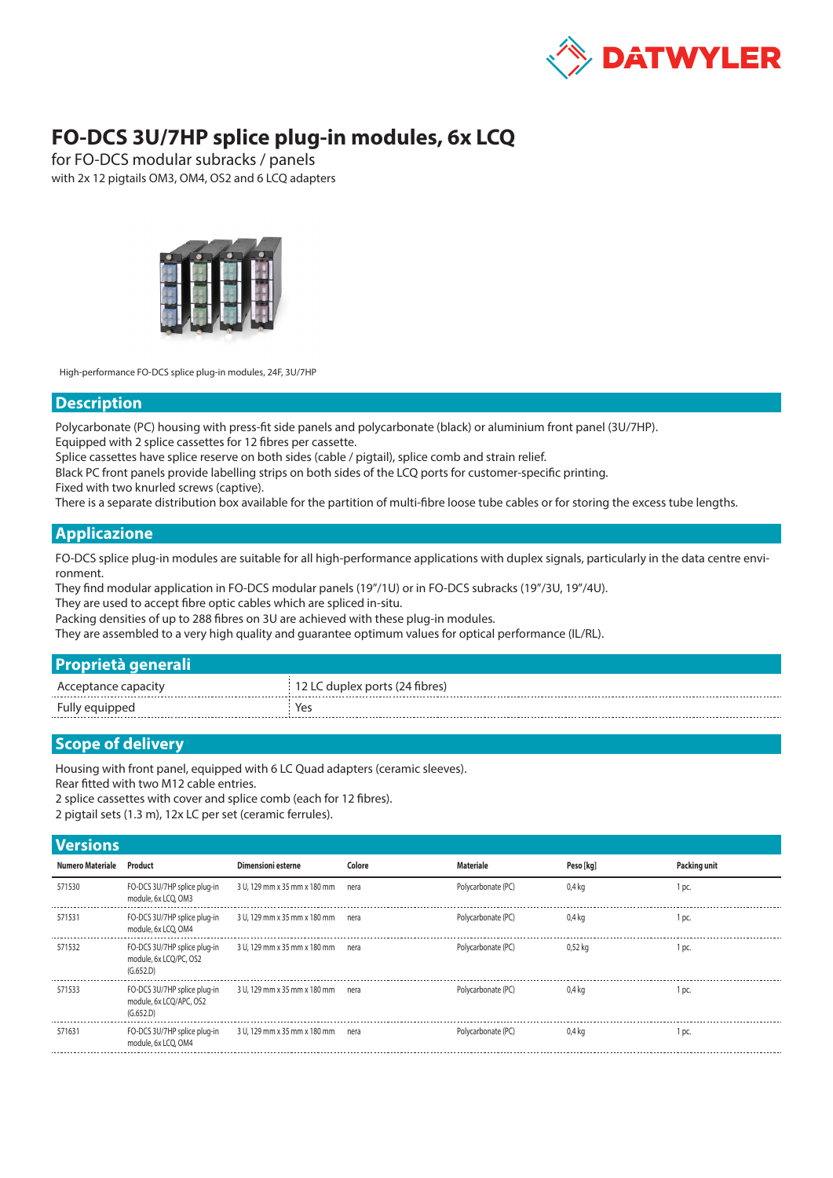

## **FO-DCS 3U/7HP splice plug-in modules, 6x LCQ**

for FO-DCS modular subracks / panels with 2x 12 pigtails OM3, OM4, OS2 and 6 LCQ adapters



High-performance FO-DCS splice plug-in modules, 24F, 3U/7HP

## **Description**

Polycarbonate (PC) housing with press-fit side panels and polycarbonate (black) or aluminium front panel (3U/7HP).

Equipped with 2 splice cassettes for 12 fibres per cassette.

Splice cassettes have splice reserve on both sides (cable / pigtail), splice comb and strain relief.

Black PC front panels provide labelling strips on both sides of the LCQ ports for customer-specific printing.

Fixed with two knurled screws (captive).

There is a separate distribution box available for the partition of multi-fibre loose tube cables or for storing the excess tube lengths.

## **Applicazione**

FO-DCS splice plug-in modules are suitable for all high-performance applications with duplex signals, particularly in the data centre environment.

They find modular application in FO-DCS modular panels (19"/1U) or in FO-DCS subracks (19"/3U, 19"/4U).

They are used to accept fibre optic cables which are spliced in-situ.

Packing densities of up to 288 fibres on 3U are achieved with these plug-in modules.

They are assembled to a very high quality and guarantee optimum values for optical performance (IL/RL).

|  | Proprietà generali |  |
|--|--------------------|--|
|  |                    |  |

|          | האימי אמו ודא∖ מ<br>$     -$ |
|----------|------------------------------|
| Fully ec |                              |

## **Scope of delivery**

Housing with front panel, equipped with 6 LC Quad adapters (ceramic sleeves).

Rear fitted with two M12 cable entries.

2 splice cassettes with cover and splice comb (each for 12 fibres).

2 pigtail sets (1.3 m), 12x LC per set (ceramic ferrules).

| <b>Versions</b> |
|-----------------|
|                 |
|                 |
|                 |

| <b>VEISIVIIS</b> |                                                                      |                                   |        |                    |                  |              |
|------------------|----------------------------------------------------------------------|-----------------------------------|--------|--------------------|------------------|--------------|
| Numero Materiale | Product                                                              | Dimensioni esterne                | Colore | Materiale          | Peso [kg]        | Packing unit |
| 571530           | FO-DCS 3U/7HP splice plug-in<br>module, 6x LCO, OM3                  | 3 U, 129 mm x 35 mm x 180 mm nera |        | Polycarbonate (PC) | 0.4 <sub>k</sub> | 1 pc.        |
| 571531           | FO-DCS 3U/7HP splice plug-in<br>module, 6x LCO, OM4                  | 3 U, 129 mm x 35 mm x 180 mm nera |        | Polycarbonate (PC) | 0.4 ka           | 1 pc         |
| 571532           | FO-DCS 3U/7HP splice plug-in<br>module, 6x LCQ/PC, OS2<br>(G.652.D)  | 3 U, 129 mm x 35 mm x 180 mm nera |        | Polycarbonate (PC) | 0.52 ka          | 1 pc.        |
| 571533           | FO-DCS 3U/7HP splice plug-in<br>module, 6x LCO/APC, OS2<br>(G.652.D) | 3 U, 129 mm x 35 mm x 180 mm nera |        | Polycarbonate (PC) | 0.4 ka           | 1 pc         |
| 571631           | FO-DCS 3U/7HP splice plug-in<br>module, 6x LCO, OM4                  | 3 U, 129 mm x 35 mm x 180 mm nera |        | Polycarbonate (PC) | 0.4 ka           | 1 pc.        |